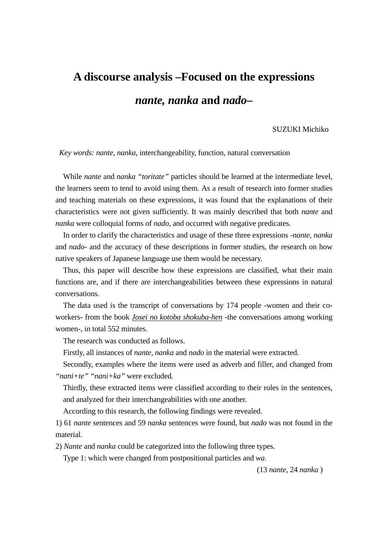## **A discourse analysis –Focused on the expressions** *nante, nanka* **and** *nado***–**

SUZUKI Michiko

*Key words: nante*, *nanka*, interchangeability, function, natural conversation

While *nante* and *nanka "toritate"* particles should be learned at the intermediate level, the learners seem to tend to avoid using them. As a result of research into former studies and teaching materials on these expressions, it was found that the explanations of their characteristics were not given sufficiently. It was mainly described that both *nante* and *nanka* were colloquial forms of *nado*, and occurred with negative predicates.

In order to clarify the characteristics and usage of these three expressions -*nante, nanka* and *nado*- and the accuracy of these descriptions in former studies, the research on how native speakers of Japanese language use them would be necessary.

Thus, this paper will describe how these expressions are classified, what their main functions are, and if there are interchangeabilities between these expressions in natural conversations.

The data used is the transcript of conversations by 174 people -women and their coworkers- from the book *Josei no kotoba shokuba-hen* -the conversations among working women-, in total 552 minutes.

The research was conducted as follows.

Firstly, all instances of *nante, nanka* and *nado* in the material were extracted.

Secondly, examples where the items were used as adverb and filler, and changed from *"nani+te" "nani+ka"* were excluded.

Thirdly, these extracted items were classified according to their roles in the sentences, and analyzed for their interchangeabilities with one another.

According to this research, the following findings were revealed.

1) 61 *nante* sentences and 59 *nanka* sentences were found, but *nado* was not found in the material.

2) *Nante* and *nanka* could be categorized into the following three types.

Type 1: which were changed from postpositional particles and *wa*.

(13 *nante*, 24 *nanka* )